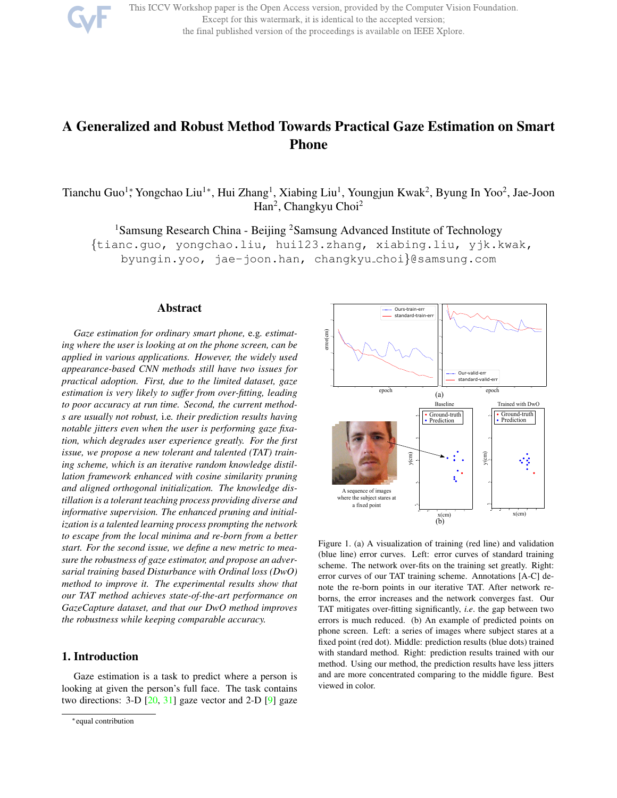

This ICCV Workshop paper is the Open Access version, provided by the Computer Vision Foundation. Except for this watermark, it is identical to the accepted version; the final published version of the proceedings is available on IEEE Xplore.

# A Generalized and Robust Method Towards Practical Gaze Estimation on Smart Phone

Tianchu Guo<sup>1</sup>\*, Yongchao Liu<sup>1</sup>\*, Hui Zhang<sup>1</sup>, Xiabing Liu<sup>1</sup>, Youngjun Kwak<sup>2</sup>, Byung In Yoo<sup>2</sup>, Jae-Joon Han<sup>2</sup>, Changkyu Choi<sup>2</sup>

<sup>1</sup>Samsung Research China - Beijing <sup>2</sup>Samsung Advanced Institute of Technology

{tianc.guo, yongchao.liu, hui123.zhang, xiabing.liu, yjk.kwak,

byungin.yoo, jae-joon.han, changkyu choi}@samsung.com

### Abstract

*Gaze estimation for ordinary smart phone,* e.g*. estimating where the user is looking at on the phone screen, can be applied in various applications. However, the widely used appearance-based CNN methods still have two issues for practical adoption. First, due to the limited dataset, gaze estimation is very likely to suffer from over-fitting, leading to poor accuracy at run time. Second, the current methods are usually not robust,* i.e*. their prediction results having notable jitters even when the user is performing gaze fixation, which degrades user experience greatly. For the first issue, we propose a new tolerant and talented (TAT) training scheme, which is an iterative random knowledge distillation framework enhanced with cosine similarity pruning and aligned orthogonal initialization. The knowledge distillation is a tolerant teaching process providing diverse and informative supervision. The enhanced pruning and initialization is a talented learning process prompting the network to escape from the local minima and re-born from a better start. For the second issue, we define a new metric to measure the robustness of gaze estimator, and propose an adversarial training based Disturbance with Ordinal loss (DwO) method to improve it. The experimental results show that our TAT method achieves state-of-the-art performance on GazeCapture dataset, and that our DwO method improves the robustness while keeping comparable accuracy.*

# 1. Introduction

Gaze estimation is a task to predict where a person is looking at given the person's full face. The task contains two directions:  $3-D$   $[20, 31]$  gaze vector and  $2-D$   $[9]$  gaze



Figure 1. (a) A visualization of training (red line) and validation (blue line) error curves. Left: error curves of standard training scheme. The network over-fits on the training set greatly. Right: error curves of our TAT training scheme. Annotations [A-C] denote the re-born points in our iterative TAT. After network reborns, the error increases and the network converges fast. Our TAT mitigates over-fitting significantly, *i.e*. the gap between two errors is much reduced. (b) An example of predicted points on phone screen. Left: a series of images where subject stares at a fixed point (red dot). Middle: prediction results (blue dots) trained with standard method. Right: prediction results trained with our method. Using our method, the prediction results have less jitters and are more concentrated comparing to the middle figure. Best viewed in color.

<sup>∗</sup>equal contribution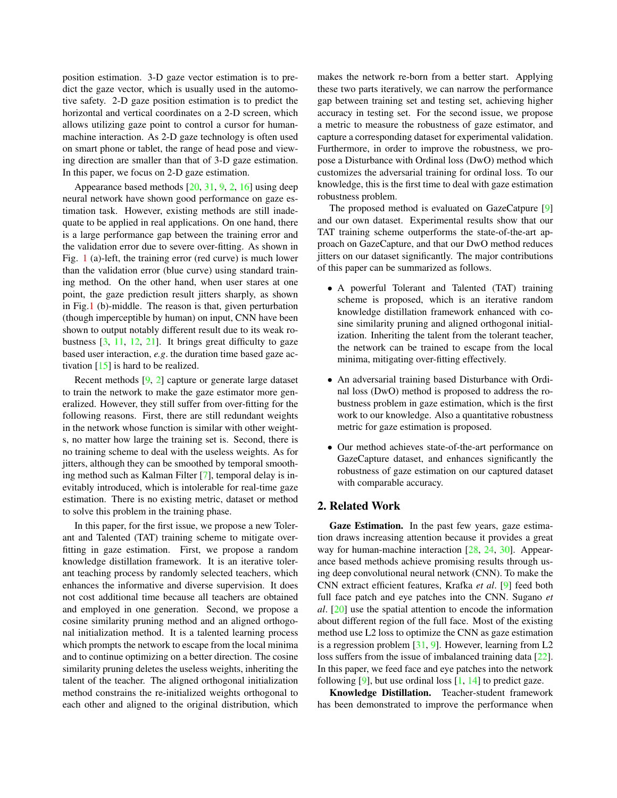position estimation. 3-D gaze vector estimation is to predict the gaze vector, which is usually used in the automotive safety. 2-D gaze position estimation is to predict the horizontal and vertical coordinates on a 2-D screen, which allows utilizing gaze point to control a cursor for humanmachine interaction. As 2-D gaze technology is often used on smart phone or tablet, the range of head pose and viewing direction are smaller than that of 3-D gaze estimation. In this paper, we focus on 2-D gaze estimation.

Appearance based methods [20, 31, 9, 2, 16] using deep neural network have shown good performance on gaze estimation task. However, existing methods are still inadequate to be applied in real applications. On one hand, there is a large performance gap between the training error and the validation error due to severe over-fitting. As shown in Fig. 1 (a)-left, the training error (red curve) is much lower than the validation error (blue curve) using standard training method. On the other hand, when user stares at one point, the gaze prediction result jitters sharply, as shown in Fig.1 (b)-middle. The reason is that, given perturbation (though imperceptible by human) on input, CNN have been shown to output notably different result due to its weak robustness [3, 11, 12, 21]. It brings great difficulty to gaze based user interaction, *e.g*. the duration time based gaze activation  $[15]$  is hard to be realized.

Recent methods [9, 2] capture or generate large dataset to train the network to make the gaze estimator more generalized. However, they still suffer from over-fitting for the following reasons. First, there are still redundant weights in the network whose function is similar with other weights, no matter how large the training set is. Second, there is no training scheme to deal with the useless weights. As for jitters, although they can be smoothed by temporal smoothing method such as Kalman Filter [7], temporal delay is inevitably introduced, which is intolerable for real-time gaze estimation. There is no existing metric, dataset or method to solve this problem in the training phase.

In this paper, for the first issue, we propose a new Tolerant and Talented (TAT) training scheme to mitigate overfitting in gaze estimation. First, we propose a random knowledge distillation framework. It is an iterative tolerant teaching process by randomly selected teachers, which enhances the informative and diverse supervision. It does not cost additional time because all teachers are obtained and employed in one generation. Second, we propose a cosine similarity pruning method and an aligned orthogonal initialization method. It is a talented learning process which prompts the network to escape from the local minima and to continue optimizing on a better direction. The cosine similarity pruning deletes the useless weights, inheriting the talent of the teacher. The aligned orthogonal initialization method constrains the re-initialized weights orthogonal to each other and aligned to the original distribution, which makes the network re-born from a better start. Applying these two parts iteratively, we can narrow the performance gap between training set and testing set, achieving higher accuracy in testing set. For the second issue, we propose a metric to measure the robustness of gaze estimator, and capture a corresponding dataset for experimental validation. Furthermore, in order to improve the robustness, we propose a Disturbance with Ordinal loss (DwO) method which customizes the adversarial training for ordinal loss. To our knowledge, this is the first time to deal with gaze estimation robustness problem.

The proposed method is evaluated on GazeCatpure [9] and our own dataset. Experimental results show that our TAT training scheme outperforms the state-of-the-art approach on GazeCapture, and that our DwO method reduces jitters on our dataset significantly. The major contributions of this paper can be summarized as follows.

- A powerful Tolerant and Talented (TAT) training scheme is proposed, which is an iterative random knowledge distillation framework enhanced with cosine similarity pruning and aligned orthogonal initialization. Inheriting the talent from the tolerant teacher, the network can be trained to escape from the local minima, mitigating over-fitting effectively.
- An adversarial training based Disturbance with Ordinal loss (DwO) method is proposed to address the robustness problem in gaze estimation, which is the first work to our knowledge. Also a quantitative robustness metric for gaze estimation is proposed.
- Our method achieves state-of-the-art performance on GazeCapture dataset, and enhances significantly the robustness of gaze estimation on our captured dataset with comparable accuracy.

### 2. Related Work

Gaze Estimation. In the past few years, gaze estimation draws increasing attention because it provides a great way for human-machine interaction [28, 24, 30]. Appearance based methods achieve promising results through using deep convolutional neural network (CNN). To make the CNN extract efficient features, Krafka *et al*. [9] feed both full face patch and eye patches into the CNN. Sugano *et al*. [20] use the spatial attention to encode the information about different region of the full face. Most of the existing method use L2 loss to optimize the CNN as gaze estimation is a regression problem [31, 9]. However, learning from L2 loss suffers from the issue of imbalanced training data [22]. In this paper, we feed face and eye patches into the network following  $[9]$ , but use ordinal loss  $[1, 14]$  to predict gaze.

Knowledge Distillation. Teacher-student framework has been demonstrated to improve the performance when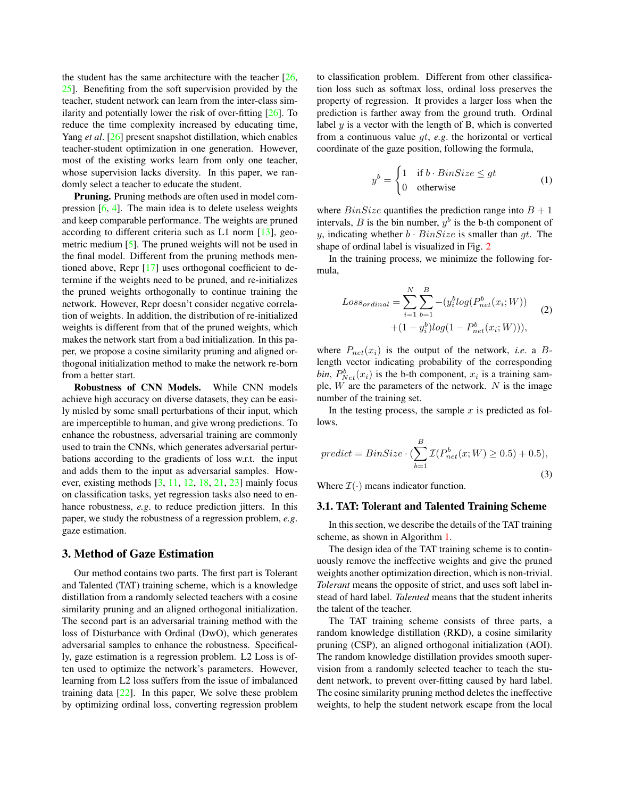the student has the same architecture with the teacher  $[26, 126]$ 25]. Benefiting from the soft supervision provided by the teacher, student network can learn from the inter-class similarity and potentially lower the risk of over-fitting [26]. To reduce the time complexity increased by educating time, Yang *et al*. [26] present snapshot distillation, which enables teacher-student optimization in one generation. However, most of the existing works learn from only one teacher, whose supervision lacks diversity. In this paper, we randomly select a teacher to educate the student.

Pruning. Pruning methods are often used in model compression [6, 4]. The main idea is to delete useless weights and keep comparable performance. The weights are pruned according to different criteria such as L1 norm [13], geometric medium [5]. The pruned weights will not be used in the final model. Different from the pruning methods mentioned above, Repr [17] uses orthogonal coefficient to determine if the weights need to be pruned, and re-initializes the pruned weights orthogonally to continue training the network. However, Repr doesn't consider negative correlation of weights. In addition, the distribution of re-initialized weights is different from that of the pruned weights, which makes the network start from a bad initialization. In this paper, we propose a cosine similarity pruning and aligned orthogonal initialization method to make the network re-born from a better start.

Robustness of CNN Models. While CNN models achieve high accuracy on diverse datasets, they can be easily misled by some small perturbations of their input, which are imperceptible to human, and give wrong predictions. To enhance the robustness, adversarial training are commonly used to train the CNNs, which generates adversarial perturbations according to the gradients of loss w.r.t. the input and adds them to the input as adversarial samples. However, existing methods [3, 11, 12, 18, 21, 23] mainly focus on classification tasks, yet regression tasks also need to enhance robustness, *e.g*. to reduce prediction jitters. In this paper, we study the robustness of a regression problem, *e.g*. gaze estimation.

# 3. Method of Gaze Estimation

Our method contains two parts. The first part is Tolerant and Talented (TAT) training scheme, which is a knowledge distillation from a randomly selected teachers with a cosine similarity pruning and an aligned orthogonal initialization. The second part is an adversarial training method with the loss of Disturbance with Ordinal (DwO), which generates adversarial samples to enhance the robustness. Specifically, gaze estimation is a regression problem. L2 Loss is often used to optimize the network's parameters. However, learning from L2 loss suffers from the issue of imbalanced training data  $[22]$ . In this paper, We solve these problem by optimizing ordinal loss, converting regression problem to classification problem. Different from other classification loss such as softmax loss, ordinal loss preserves the property of regression. It provides a larger loss when the prediction is farther away from the ground truth. Ordinal label  $y$  is a vector with the length of B, which is converted from a continuous value gt, *e.g*. the horizontal or vertical coordinate of the gaze position, following the formula,

$$
y^{b} = \begin{cases} 1 & \text{if } b \cdot BinSize \le gt \\ 0 & \text{otherwise} \end{cases}
$$
 (1)

where  $BinSize$  quantifies the prediction range into  $B + 1$ intervals,  $B$  is the bin number,  $y^b$  is the b-th component of y, indicating whether  $b \cdot BinSize$  is smaller than gt. The shape of ordinal label is visualized in Fig. 2

In the training process, we minimize the following formula,

$$
Loss_{\text{normal}} = \sum_{i=1}^{N} \sum_{b=1}^{B} -(y_i^b \log(P_{\text{net}}^b(x_i; W)) + (1 - y_i^b) \log(1 - P_{\text{net}}^b(x_i; W))),
$$
\n(2)

where  $P_{net}(x_i)$  is the output of the network, *i.e.* a Blength vector indicating probability of the corresponding *bin*,  $P_{Net}^{b}(x_i)$  is the b-th component,  $x_i$  is a training sample,  $W$  are the parameters of the network.  $N$  is the image number of the training set.

In the testing process, the sample  $x$  is predicted as follows,

$$
predict = BinSize \cdot (\sum_{b=1}^{B} \mathcal{I}(P_{net}^b(x;W) \ge 0.5) + 0.5),
$$
\n(3)

Where  $\mathcal{I}(\cdot)$  means indicator function.

#### 3.1. TAT: Tolerant and Talented Training Scheme

In this section, we describe the details of the TAT training scheme, as shown in Algorithm 1.

The design idea of the TAT training scheme is to continuously remove the ineffective weights and give the pruned weights another optimization direction, which is non-trivial. *Tolerant* means the opposite of strict, and uses soft label instead of hard label. *Talented* means that the student inherits the talent of the teacher.

The TAT training scheme consists of three parts, a random knowledge distillation (RKD), a cosine similarity pruning (CSP), an aligned orthogonal initialization (AOI). The random knowledge distillation provides smooth supervision from a randomly selected teacher to teach the student network, to prevent over-fitting caused by hard label. The cosine similarity pruning method deletes the ineffective weights, to help the student network escape from the local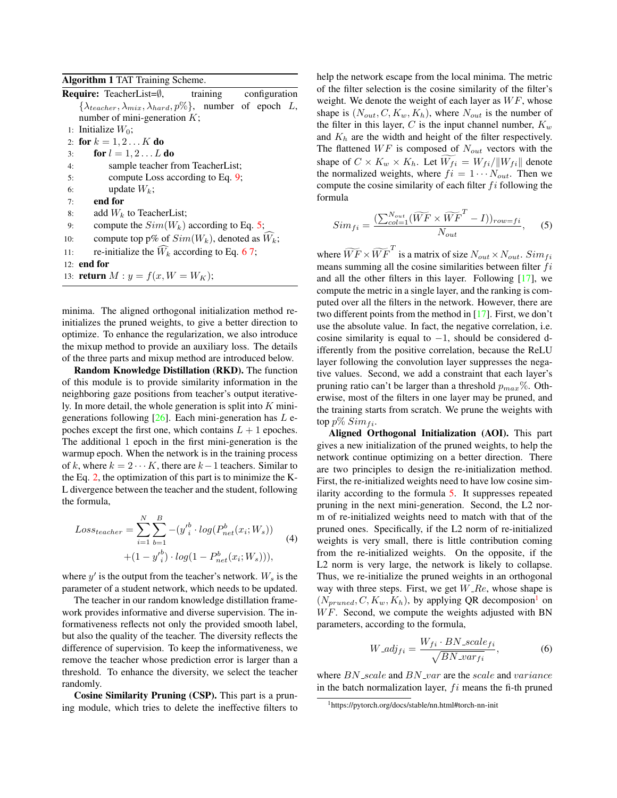Algorithm 1 TAT Training Scheme.

|     |             | <b>Require:</b> TeacherList=0, training configuration                             |  |  |  |
|-----|-------------|-----------------------------------------------------------------------------------|--|--|--|
|     |             | $\{\lambda_{teacher}, \lambda_{mix}, \lambda_{hard}, p\% \}$ , number of epoch L, |  |  |  |
|     |             | number of mini-generation $K$ ;                                                   |  |  |  |
|     |             | 1: Initialize $W_0$ ;                                                             |  |  |  |
|     |             | 2: for $k = 1, 2K$ do                                                             |  |  |  |
| 3:  |             | for $l = 1, 2 L$ do                                                               |  |  |  |
| 4:  |             | sample teacher from TeacherList;                                                  |  |  |  |
| 5:  |             | compute Loss according to Eq. 9;                                                  |  |  |  |
| 6:  |             | update $W_k$ ;                                                                    |  |  |  |
| 7:  |             | end for                                                                           |  |  |  |
| 8:  |             | add $W_k$ to TeacherList;                                                         |  |  |  |
| 9:  |             | compute the $Sim(W_k)$ according to Eq. 5;                                        |  |  |  |
| 10: |             | compute top p% of $Sim(W_k)$ , denoted as $W_k$ ;                                 |  |  |  |
| 11: |             | re-initialize the $W_k$ according to Eq. 67;                                      |  |  |  |
|     | 12: end for |                                                                                   |  |  |  |
|     |             | 13: <b>return</b> $M: y = f(x, W = W_K);$                                         |  |  |  |
|     |             |                                                                                   |  |  |  |

minima. The aligned orthogonal initialization method reinitializes the pruned weights, to give a better direction to optimize. To enhance the regularization, we also introduce the mixup method to provide an auxiliary loss. The details of the three parts and mixup method are introduced below.

Random Knowledge Distillation (RKD). The function of this module is to provide similarity information in the neighboring gaze positions from teacher's output iteratively. In more detail, the whole generation is split into  $K$  minigenerations following  $[26]$ . Each mini-generation has L epoches except the first one, which contains  $L + 1$  epoches. The additional 1 epoch in the first mini-generation is the warmup epoch. When the network is in the training process of k, where  $k = 2 \cdots K$ , there are  $k-1$  teachers. Similar to the Eq. 2, the optimization of this part is to minimize the K-L divergence between the teacher and the student, following the formula,

$$
Loss_{teacher} = \sum_{i=1}^{N} \sum_{b=1}^{B} -(y'^{b}_{i} \cdot log(P^{b}_{net}(x_{i}; W_{s})) + (1 - y'^{b}_{i}) \cdot log(1 - P^{b}_{net}(x_{i}; W_{s}))),
$$
\n(4)

where  $y'$  is the output from the teacher's network.  $W_s$  is the parameter of a student network, which needs to be updated.

The teacher in our random knowledge distillation framework provides informative and diverse supervision. The informativeness reflects not only the provided smooth label, but also the quality of the teacher. The diversity reflects the difference of supervision. To keep the informativeness, we remove the teacher whose prediction error is larger than a threshold. To enhance the diversity, we select the teacher randomly.

Cosine Similarity Pruning (CSP). This part is a pruning module, which tries to delete the ineffective filters to help the network escape from the local minima. The metric of the filter selection is the cosine similarity of the filter's weight. We denote the weight of each layer as  $WF$ , whose shape is  $(N_{out}, C, K_w, K_h)$ , where  $N_{out}$  is the number of the filter in this layer, C is the input channel number,  $K_w$ and  $K_h$  are the width and height of the filter respectively. The flattened  $WF$  is composed of  $N_{out}$  vectors with the shape of  $C \times K_w \times K_h$ . Let  $\widetilde{W_{fi}} = W_{fi}/\Vert W_{fi} \Vert$  denote the normalized weights, where  $f_i = 1 \cdots N_{out}$ . Then we compute the cosine similarity of each filter  $fi$  following the formula

$$
Sim_{fi} = \frac{(\sum_{col=1}^{N_{out}} (\widetilde{WF} \times \widetilde{WF}^T - I))_{row=fi}}{N_{out}},
$$
 (5)

where  $\widetilde{WF} \times \widetilde{WF}^T$  is a matrix of size  $N_{out} \times N_{out}$ .  $Sim_{fi}$ means summing all the cosine similarities between filter  $fi$ and all the other filters in this layer. Following [17], we compute the metric in a single layer, and the ranking is computed over all the filters in the network. However, there are two different points from the method in [17]. First, we don't use the absolute value. In fact, the negative correlation, i.e. cosine similarity is equal to  $-1$ , should be considered differently from the positive correlation, because the ReLU layer following the convolution layer suppresses the negative values. Second, we add a constraint that each layer's pruning ratio can't be larger than a threshold  $p_{max}$ %. Otherwise, most of the filters in one layer may be pruned, and the training starts from scratch. We prune the weights with top  $p\%$  Sim  $_{fi}$ .

Aligned Orthogonal Initialization (AOI). This part gives a new initialization of the pruned weights, to help the network continue optimizing on a better direction. There are two principles to design the re-initialization method. First, the re-initialized weights need to have low cosine similarity according to the formula 5. It suppresses repeated pruning in the next mini-generation. Second, the L2 norm of re-initialized weights need to match with that of the pruned ones. Specifically, if the L2 norm of re-initialized weights is very small, there is little contribution coming from the re-initialized weights. On the opposite, if the L2 norm is very large, the network is likely to collapse. Thus, we re-initialize the pruned weights in an orthogonal way with three steps. First, we get  $W_{\mathcal{A}}$  Re, whose shape is  $(N_{pruned}, C, K_w, K_h)$ , by applying QR decomposion<sup>1</sup> on  $WF.$  Second, we compute the weights adjusted with BN parameters, according to the formula,

$$
W\_adj_{fi} = \frac{W_{fi} \cdot BN\_scale_{fi}}{\sqrt{BN\_var_{fi}}},\tag{6}
$$

where  $BN\_scale$  and  $BN\_var$  are the scale and variance in the batch normalization layer,  $f_i$  means the fi-th pruned

<sup>1</sup>https://pytorch.org/docs/stable/nn.html#torch-nn-init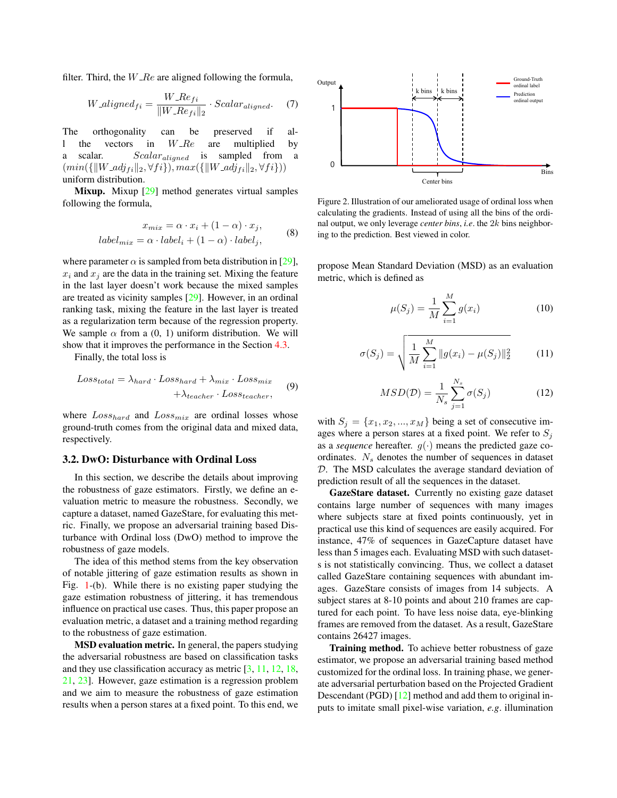filter. Third, the  $W_{R}$ e are aligned following the formula,

$$
W\_aligned_{fi} = \frac{W\_Ref_{fi}}{\|W\_Ref_{i}\|_{2}} \cdot Scalar_{aligned}.
$$
 (7)

The orthogonality can be preserved if al-1 the vectors in  $W<sub>-\epsilon</sub>$  are multiplied by a scalar. Scalar<sub>aligned</sub> is sampled from a  $(min({\|W\_adj_{fi}\|_2, \forall fi}), max({\|W\_adj_{fi}\|_2, \forall fi}))$ uniform distribution.

Mixup. Mixup [29] method generates virtual samples following the formula,

$$
x_{mix} = \alpha \cdot x_i + (1 - \alpha) \cdot x_j,
$$
  
\n
$$
label_{mix} = \alpha \cdot label_i + (1 - \alpha) \cdot label_j,
$$
\n(8)

where parameter  $\alpha$  is sampled from beta distribution in [29],  $x_i$  and  $x_j$  are the data in the training set. Mixing the feature in the last layer doesn't work because the mixed samples are treated as vicinity samples [29]. However, in an ordinal ranking task, mixing the feature in the last layer is treated as a regularization term because of the regression property. We sample  $\alpha$  from a (0, 1) uniform distribution. We will show that it improves the performance in the Section 4.3.

Finally, the total loss is

$$
Loss_{total} = \lambda_{hard} \cdot Loss_{hard} + \lambda_{mix} \cdot Loss_{mix}
$$
  
+ 
$$
\lambda_{teacher} \cdot Loss_{teacher},
$$
 (9)

where  $Loss_{hard}$  and  $Loss_{mix}$  are ordinal losses whose ground-truth comes from the original data and mixed data, respectively.

### 3.2. DwO: Disturbance with Ordinal Loss

In this section, we describe the details about improving the robustness of gaze estimators. Firstly, we define an evaluation metric to measure the robustness. Secondly, we capture a dataset, named GazeStare, for evaluating this metric. Finally, we propose an adversarial training based Disturbance with Ordinal loss (DwO) method to improve the robustness of gaze models.

The idea of this method stems from the key observation of notable jittering of gaze estimation results as shown in Fig. 1-(b). While there is no existing paper studying the gaze estimation robustness of jittering, it has tremendous influence on practical use cases. Thus, this paper propose an evaluation metric, a dataset and a training method regarding to the robustness of gaze estimation.

MSD evaluation metric. In general, the papers studying the adversarial robustness are based on classification tasks and they use classification accuracy as metric [3, 11, 12, 18, 21, 23]. However, gaze estimation is a regression problem and we aim to measure the robustness of gaze estimation results when a person stares at a fixed point. To this end, we



Figure 2. Illustration of our ameliorated usage of ordinal loss when calculating the gradients. Instead of using all the bins of the ordinal output, we only leverage *center bins*, *i.e*. the 2k bins neighboring to the prediction. Best viewed in color.

propose Mean Standard Deviation (MSD) as an evaluation metric, which is defined as

$$
\mu(S_j) = \frac{1}{M} \sum_{i=1}^{M} g(x_i)
$$
\n(10)

$$
\sigma(S_j) = \sqrt{\frac{1}{M} \sum_{i=1}^{M} ||g(x_i) - \mu(S_j)||_2^2}
$$
 (11)

$$
MSD(\mathcal{D}) = \frac{1}{N_s} \sum_{j=1}^{N_s} \sigma(S_j)
$$
 (12)

with  $S_i = \{x_1, x_2, ..., x_M\}$  being a set of consecutive images where a person stares at a fixed point. We refer to  $S_i$ as a *sequence* hereafter.  $g(\cdot)$  means the predicted gaze coordinates.  $N<sub>s</sub>$  denotes the number of sequences in dataset D. The MSD calculates the average standard deviation of prediction result of all the sequences in the dataset.

GazeStare dataset. Currently no existing gaze dataset contains large number of sequences with many images where subjects stare at fixed points continuously, yet in practical use this kind of sequences are easily acquired. For instance, 47% of sequences in GazeCapture dataset have less than 5 images each. Evaluating MSD with such datasets is not statistically convincing. Thus, we collect a dataset called GazeStare containing sequences with abundant images. GazeStare consists of images from 14 subjects. A subject stares at 8-10 points and about 210 frames are captured for each point. To have less noise data, eye-blinking frames are removed from the dataset. As a result, GazeStare contains 26427 images.

Training method. To achieve better robustness of gaze estimator, we propose an adversarial training based method customized for the ordinal loss. In training phase, we generate adversarial perturbation based on the Projected Gradient Descendant (PGD) [12] method and add them to original inputs to imitate small pixel-wise variation, *e.g*. illumination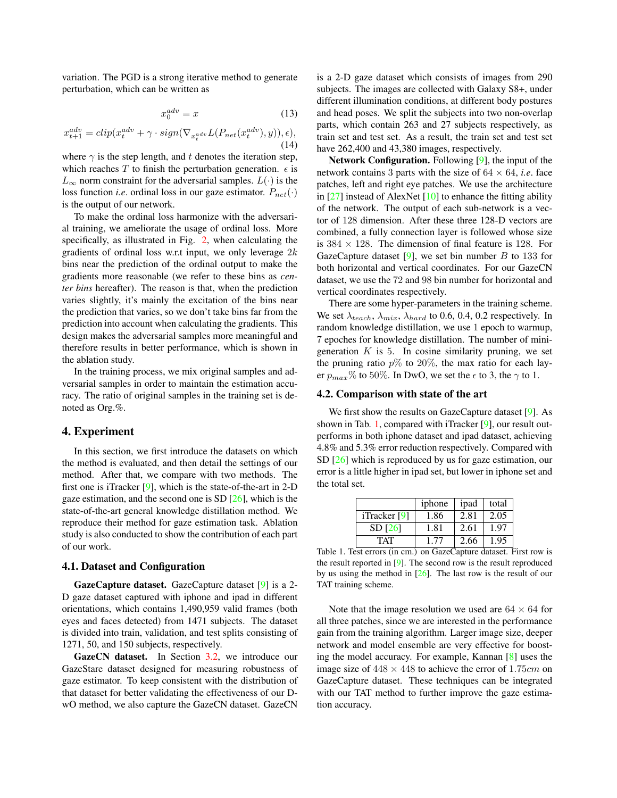variation. The PGD is a strong iterative method to generate perturbation, which can be written as

$$
x_0^{adv} = x \tag{13}
$$

$$
x_{t+1}^{adv} = clip(x_t^{adv} + \gamma \cdot sign(\nabla_{x_t^{adv}} L(P_{net}(x_t^{adv}), y)), \epsilon),
$$
\n(14)

where  $\gamma$  is the step length, and t denotes the iteration step, which reaches  $T$  to finish the perturbation generation.  $\epsilon$  is  $L_{\infty}$  norm constraint for the adversarial samples.  $L(\cdot)$  is the loss function *i.e.* ordinal loss in our gaze estimator.  $P_{net}(\cdot)$ is the output of our network.

To make the ordinal loss harmonize with the adversarial training, we ameliorate the usage of ordinal loss. More specifically, as illustrated in Fig. 2, when calculating the gradients of ordinal loss w.r.t input, we only leverage  $2k$ bins near the prediction of the ordinal output to make the gradients more reasonable (we refer to these bins as *center bins* hereafter). The reason is that, when the prediction varies slightly, it's mainly the excitation of the bins near the prediction that varies, so we don't take bins far from the prediction into account when calculating the gradients. This design makes the adversarial samples more meaningful and therefore results in better performance, which is shown in the ablation study.

In the training process, we mix original samples and adversarial samples in order to maintain the estimation accuracy. The ratio of original samples in the training set is denoted as Org.%.

# 4. Experiment

In this section, we first introduce the datasets on which the method is evaluated, and then detail the settings of our method. After that, we compare with two methods. The first one is iTracker [9], which is the state-of-the-art in 2-D gaze estimation, and the second one is SD [26], which is the state-of-the-art general knowledge distillation method. We reproduce their method for gaze estimation task. Ablation study is also conducted to show the contribution of each part of our work.

### 4.1. Dataset and Configuration

GazeCapture dataset. GazeCapture dataset [9] is a 2- D gaze dataset captured with iphone and ipad in different orientations, which contains 1,490,959 valid frames (both eyes and faces detected) from 1471 subjects. The dataset is divided into train, validation, and test splits consisting of 1271, 50, and 150 subjects, respectively.

GazeCN dataset. In Section 3.2, we introduce our GazeStare dataset designed for measuring robustness of gaze estimator. To keep consistent with the distribution of that dataset for better validating the effectiveness of our DwO method, we also capture the GazeCN dataset. GazeCN

is a 2-D gaze dataset which consists of images from 290 subjects. The images are collected with Galaxy S8+, under different illumination conditions, at different body postures and head poses. We split the subjects into two non-overlap parts, which contain 263 and 27 subjects respectively, as train set and test set. As a result, the train set and test set have  $262,400$  and  $43,380$  images, respectively.

Network Configuration. Following [9], the input of the network contains 3 parts with the size of  $64 \times 64$ , *i.e.* face patches, left and right eye patches. We use the architecture in  $[27]$  instead of AlexNet  $[10]$  to enhance the fitting ability of the network. The output of each sub-network is a vector of 128 dimension. After these three 128-D vectors are combined, a fully connection layer is followed whose size is  $384 \times 128$ . The dimension of final feature is 128. For GazeCapture dataset [9], we set bin number  $B$  to 133 for both horizontal and vertical coordinates. For our GazeCN dataset, we use the 72 and 98 bin number for horizontal and vertical coordinates respectively.

There are some hyper-parameters in the training scheme. We set  $\lambda_{teach}$ ,  $\lambda_{mix}$ ,  $\lambda_{hard}$  to 0.6, 0.4, 0.2 respectively. In random knowledge distillation, we use 1 epoch to warmup, 7 epoches for knowledge distillation. The number of minigeneration  $K$  is 5. In cosine similarity pruning, we set the pruning ratio  $p\%$  to 20%, the max ratio for each layer  $p_{max}\%$  to 50%. In DwO, we set the  $\epsilon$  to 3, the  $\gamma$  to 1.

### 4.2. Comparison with state of the art

We first show the results on GazeCapture dataset [9]. As shown in Tab. 1, compared with iTracker [9], our result outperforms in both iphone dataset and ipad dataset, achieving 4.8% and 5.3% error reduction respectively. Compared with SD [26] which is reproduced by us for gaze estimation, our error is a little higher in ipad set, but lower in iphone set and the total set.

| iphone | ipad | total |
|--------|------|-------|
| 1.86   | 2.81 | 2.05  |
| 1.81   | 2.61 | 1.97  |
| 1.77   | 2.66 | 1.95  |
|        |      |       |

Table 1. Test errors (in cm.) on GazeCapture dataset. First row is the result reported in [9]. The second row is the result reproduced by us using the method in  $[26]$ . The last row is the result of our TAT training scheme.

Note that the image resolution we used are  $64 \times 64$  for all three patches, since we are interested in the performance gain from the training algorithm. Larger image size, deeper network and model ensemble are very effective for boosting the model accuracy. For example, Kannan [8] uses the image size of  $448 \times 448$  to achieve the error of 1.75cm on GazeCapture dataset. These techniques can be integrated with our TAT method to further improve the gaze estimation accuracy.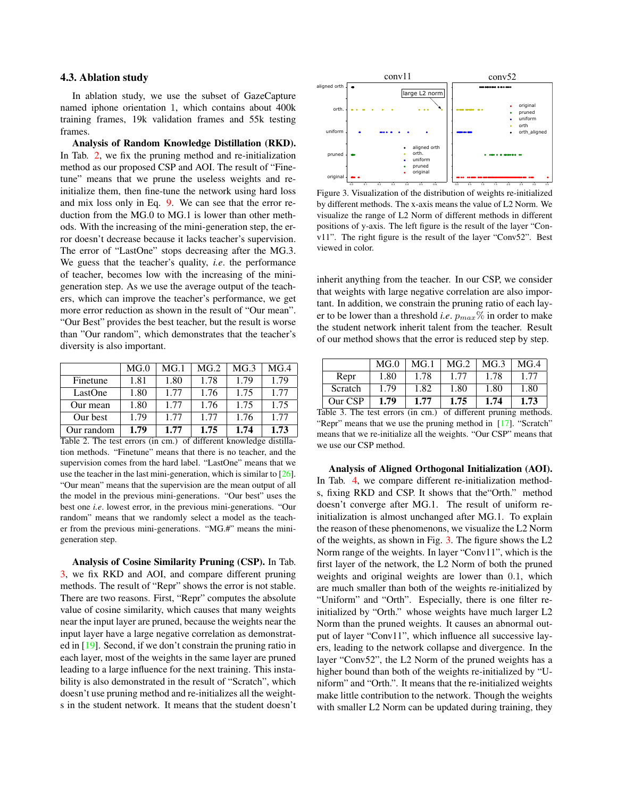## 4.3. Ablation study

In ablation study, we use the subset of GazeCapture named iphone orientation 1, which contains about 400k training frames, 19k validation frames and 55k testing frames.

Analysis of Random Knowledge Distillation (RKD). In Tab. 2, we fix the pruning method and re-initialization method as our proposed CSP and AOI. The result of "Finetune" means that we prune the useless weights and reinitialize them, then fine-tune the network using hard loss and mix loss only in Eq. 9. We can see that the error reduction from the MG.0 to MG.1 is lower than other methods. With the increasing of the mini-generation step, the error doesn't decrease because it lacks teacher's supervision. The error of "LastOne" stops decreasing after the MG.3. We guess that the teacher's quality, *i.e*. the performance of teacher, becomes low with the increasing of the minigeneration step. As we use the average output of the teachers, which can improve the teacher's performance, we get more error reduction as shown in the result of "Our mean". "Our Best" provides the best teacher, but the result is worse than "Our random", which demonstrates that the teacher's diversity is also important.

|            | MG <sub>.0</sub> | MG.1 | MG <sub>2</sub> | MG.3 | MG.4 |
|------------|------------------|------|-----------------|------|------|
| Finetune   | 1.81             | 1.80 | 1.78            | 1.79 | 1.79 |
| LastOne    | 1.80             | 1.77 | 1.76            | 1.75 | 1.77 |
| Our mean   | 1.80             | 1.77 | 1.76            | 1.75 | 1.75 |
| Our best   | 1.79             | 1.77 | 1.77            | 1.76 | 1.77 |
| Our random | 1.79             | 1.77 | 1.75            | 1.74 | 1.73 |

Table 2. The test errors (in cm.) of different knowledge distillation methods. "Finetune" means that there is no teacher, and the supervision comes from the hard label. "LastOne" means that we use the teacher in the last mini-generation, which is similar to [26]. "Our mean" means that the supervision are the mean output of all the model in the previous mini-generations. "Our best" uses the best one *i.e*. lowest error, in the previous mini-generations. "Our random" means that we randomly select a model as the teacher from the previous mini-generations. "MG.#" means the minigeneration step.

Analysis of Cosine Similarity Pruning (CSP). In Tab. 3, we fix RKD and AOI, and compare different pruning methods. The result of "Repr" shows the error is not stable. There are two reasons. First, "Repr" computes the absolute value of cosine similarity, which causes that many weights near the input layer are pruned, because the weights near the input layer have a large negative correlation as demonstrated in [19]. Second, if we don't constrain the pruning ratio in each layer, most of the weights in the same layer are pruned leading to a large influence for the next training. This instability is also demonstrated in the result of "Scratch", which doesn't use pruning method and re-initializes all the weights in the student network. It means that the student doesn't



Figure 3. Visualization of the distribution of weights re-initialized by different methods. The x-axis means the value of L2 Norm. We visualize the range of L2 Norm of different methods in different positions of y-axis. The left figure is the result of the layer "Conv11". The right figure is the result of the layer "Conv52". Best viewed in color.

inherit anything from the teacher. In our CSP, we consider that weights with large negative correlation are also important. In addition, we constrain the pruning ratio of each layer to be lower than a threshold *i.e.*  $p_{max}$ % in order to make the student network inherit talent from the teacher. Result of our method shows that the error is reduced step by step.

|         | MG <sub>.0</sub> | MG.1 | MG.2 | MG.3 | MG <sub>1</sub> 4 |
|---------|------------------|------|------|------|-------------------|
| Repr    | 1.80             | 1.78 | 1.77 | 1.78 | 1.77              |
| Scratch | 1.79             | 1.82 | 1.80 | 1.80 | 1.80              |
| Our CSP | 1.79             | 1.77 | 1.75 | 1.74 | 1.73              |

Table 3. The test errors (in cm.) of different pruning methods. "Repr" means that we use the pruning method in [17]. "Scratch" means that we re-initialize all the weights. "Our CSP" means that we use our CSP method.

Analysis of Aligned Orthogonal Initialization (AOI). In Tab. 4, we compare different re-initialization methods, fixing RKD and CSP. It shows that the"Orth." method doesn't converge after MG.1. The result of uniform reinitialization is almost unchanged after MG.1. To explain the reason of these phenomenons, we visualize the L2 Norm of the weights, as shown in Fig. 3. The figure shows the L2 Norm range of the weights. In layer "Conv11", which is the first layer of the network, the L2 Norm of both the pruned weights and original weights are lower than 0.1, which are much smaller than both of the weights re-initialized by "Uniform" and "Orth". Especially, there is one filter reinitialized by "Orth." whose weights have much larger L2 Norm than the pruned weights. It causes an abnormal output of layer "Conv11", which influence all successive layers, leading to the network collapse and divergence. In the layer "Conv52", the L2 Norm of the pruned weights has a higher bound than both of the weights re-initialized by "Uniform" and "Orth.". It means that the re-initialized weights make little contribution to the network. Though the weights with smaller L2 Norm can be updated during training, they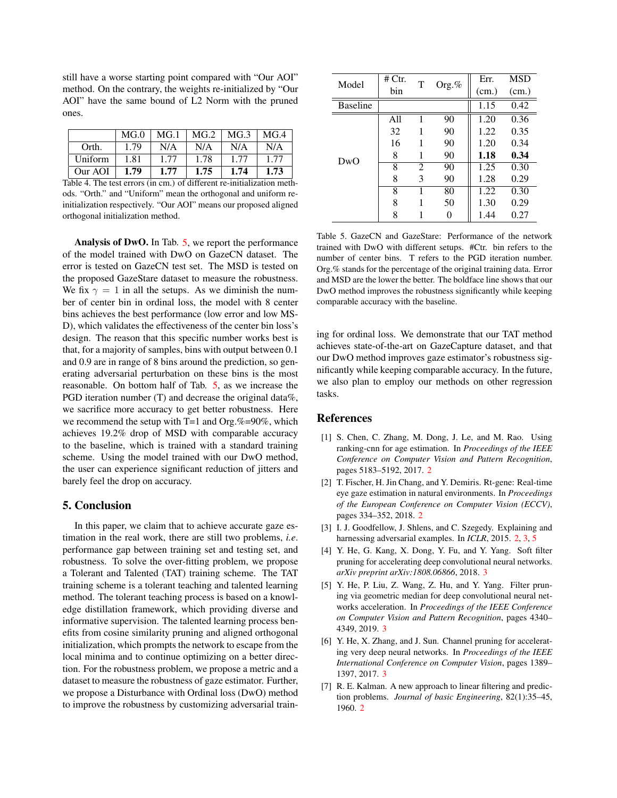still have a worse starting point compared with "Our AOI" method. On the contrary, the weights re-initialized by "Our AOI" have the same bound of L2 Norm with the pruned ones.

|         | MG <sub>.0</sub> | MG.1 | MG.2 | MG.3 | MG.4 |
|---------|------------------|------|------|------|------|
| Orth.   | 1.79             | N/A  | N/A  | N/A  | N/A  |
| Uniform | 1.81             | 1.77 | 1.78 | 1.77 | 1.77 |
| Our AOI | 1.79             | 1.77 | 1.75 | 1.74 | 1.73 |

Table 4. The test errors (in cm.) of different re-initialization methods. "Orth." and "Uniform" mean the orthogonal and uniform reinitialization respectively. "Our AOI" means our proposed aligned orthogonal initialization method.

Analysis of DwO. In Tab. 5, we report the performance of the model trained with DwO on GazeCN dataset. The error is tested on GazeCN test set. The MSD is tested on the proposed GazeStare dataset to measure the robustness. We fix  $\gamma = 1$  in all the setups. As we diminish the number of center bin in ordinal loss, the model with 8 center bins achieves the best performance (low error and low MS-D), which validates the effectiveness of the center bin loss's design. The reason that this specific number works best is that, for a majority of samples, bins with output between 0.1 and 0.9 are in range of 8 bins around the prediction, so generating adversarial perturbation on these bins is the most reasonable. On bottom half of Tab. 5, as we increase the PGD iteration number (T) and decrease the original data%, we sacrifice more accuracy to get better robustness. Here we recommend the setup with  $T=1$  and Org.%=90%, which achieves 19.2% drop of MSD with comparable accuracy to the baseline, which is trained with a standard training scheme. Using the model trained with our DwO method, the user can experience significant reduction of jitters and barely feel the drop on accuracy.

### 5. Conclusion

In this paper, we claim that to achieve accurate gaze estimation in the real work, there are still two problems, *i.e*. performance gap between training set and testing set, and robustness. To solve the over-fitting problem, we propose a Tolerant and Talented (TAT) training scheme. The TAT training scheme is a tolerant teaching and talented learning method. The tolerant teaching process is based on a knowledge distillation framework, which providing diverse and informative supervision. The talented learning process benefits from cosine similarity pruning and aligned orthogonal initialization, which prompts the network to escape from the local minima and to continue optimizing on a better direction. For the robustness problem, we propose a metric and a dataset to measure the robustness of gaze estimator. Further, we propose a Disturbance with Ordinal loss (DwO) method to improve the robustness by customizing adversarial train-

| Model           | # $C$ tr. | T              |          | Err.  | MSD   |
|-----------------|-----------|----------------|----------|-------|-------|
|                 | bin       |                | Org. $%$ | (cm.) | (cm.) |
| <b>Baseline</b> |           |                |          | 1.15  | 0.42  |
|                 | A11       |                | 90       | 1.20  | 0.36  |
|                 | 32        | 1              | 90       | 1.22  | 0.35  |
|                 | 16        |                | 90       | 1.20  | 0.34  |
| DwO             | 8         |                | 90       | 1.18  | 0.34  |
|                 | 8         | $\mathfrak{D}$ | 90       | 1.25  | 0.30  |
|                 | 8         | 3              | 90       | 1.28  | 0.29  |
|                 | 8         |                | 80       | 1.22  | 0.30  |
|                 | 8         | 1              | 50       | 1.30  | 0.29  |
|                 | 8         |                |          | 1.44  | 0.27  |

Table 5. GazeCN and GazeStare: Performance of the network trained with DwO with different setups. #Ctr. bin refers to the number of center bins. T refers to the PGD iteration number. Org.% stands for the percentage of the original training data. Error and MSD are the lower the better. The boldface line shows that our DwO method improves the robustness significantly while keeping comparable accuracy with the baseline.

ing for ordinal loss. We demonstrate that our TAT method achieves state-of-the-art on GazeCapture dataset, and that our DwO method improves gaze estimator's robustness significantly while keeping comparable accuracy. In the future, we also plan to employ our methods on other regression tasks.

# **References**

- [1] S. Chen, C. Zhang, M. Dong, J. Le, and M. Rao. Using ranking-cnn for age estimation. In *Proceedings of the IEEE Conference on Computer Vision and Pattern Recognition*, pages 5183–5192, 2017. 2
- [2] T. Fischer, H. Jin Chang, and Y. Demiris. Rt-gene: Real-time eye gaze estimation in natural environments. In *Proceedings of the European Conference on Computer Vision (ECCV)*, pages 334–352, 2018. 2
- [3] I. J. Goodfellow, J. Shlens, and C. Szegedy. Explaining and harnessing adversarial examples. In *ICLR*, 2015. 2, 3, 5
- [4] Y. He, G. Kang, X. Dong, Y. Fu, and Y. Yang. Soft filter pruning for accelerating deep convolutional neural networks. *arXiv preprint arXiv:1808.06866*, 2018. 3
- [5] Y. He, P. Liu, Z. Wang, Z. Hu, and Y. Yang. Filter pruning via geometric median for deep convolutional neural networks acceleration. In *Proceedings of the IEEE Conference on Computer Vision and Pattern Recognition*, pages 4340– 4349, 2019. 3
- [6] Y. He, X. Zhang, and J. Sun. Channel pruning for accelerating very deep neural networks. In *Proceedings of the IEEE International Conference on Computer Vision*, pages 1389– 1397, 2017. 3
- [7] R. E. Kalman. A new approach to linear filtering and prediction problems. *Journal of basic Engineering*, 82(1):35–45, 1960. 2